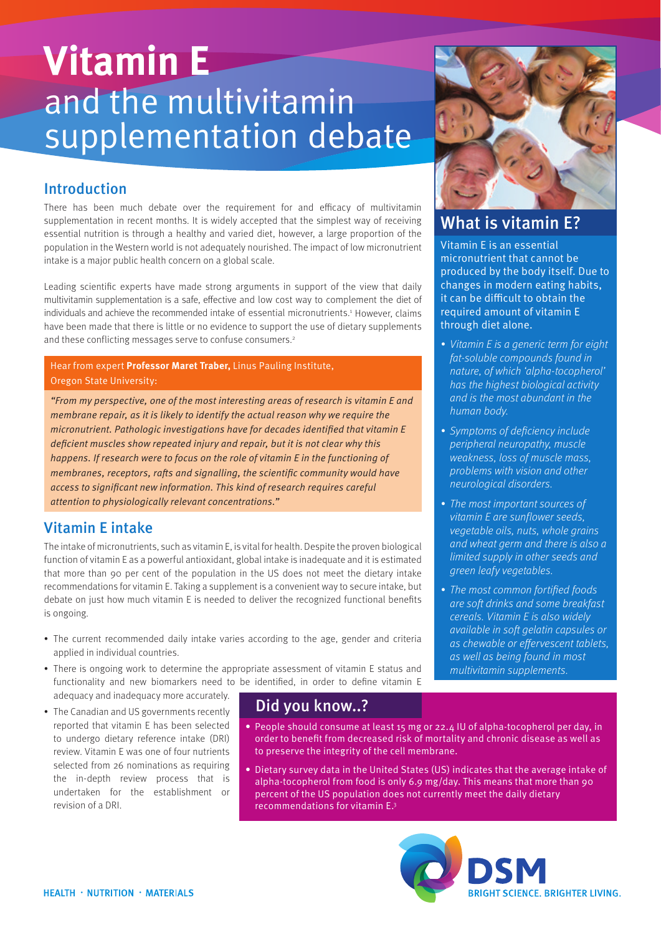# **Vitamin E** and the multivitamin supplementation debate

### Introduction

There has been much debate over the requirement for and efficacy of multivitamin supplementation in recent months. It is widely accepted that the simplest way of receiving essential nutrition is through a healthy and varied diet, however, a large proportion of the population in the Western world is not adequately nourished. The impact of low micronutrient intake is a major public health concern on a global scale.

Leading scientific experts have made strong arguments in support of the view that daily multivitamin supplementation is a safe, effective and low cost way to complement the diet of individuals and achieve the recommended intake of essential micronutrients.<sup>1</sup> However, claims have been made that there is little or no evidence to support the use of dietary supplements and these conflicting messages serve to confuse consumers.<sup>2</sup>

#### Hear from expert **Professor Maret Traber,** Linus Pauling Institute, Oregon State University:

"From my perspective, one of the most interesting areas of research is vitamin E and membrane repair, as it is likely to identify the actual reason why we require the micronutrient. Pathologic investigations have for decades identified that vitamin E deficient muscles show repeated injury and repair, but it is not clear why this happens. If research were to focus on the role of vitamin E in the functioning of membranes, receptors, rafts and signalling, the scientific community would have access to significant new information. This kind of research requires careful attention to physiologically relevant concentrations."

#### Vitamin E intake

The intake of micronutrients, such as vitamin E, is vital for health. Despite the proven biological function of vitamin E as a powerful antioxidant, global intake is inadequate and it is estimated that more than 90 per cent of the population in the US does not meet the dietary intake recommendations for vitamin E. Taking a supplement is a convenient way to secure intake, but debate on just how much vitamin E is needed to deliver the recognized functional benefits is ongoing.

- The current recommended daily intake varies according to the age, gender and criteria applied in individual countries.
- There is ongoing work to determine the appropriate assessment of vitamin E status and functionality and new biomarkers need to be identified, in order to define vitamin E adequacy and inadequacy more accurately.
- The Canadian and US governments recently reported that vitamin E has been selected to undergo dietary reference intake (DRI) review. Vitamin E was one of four nutrients selected from 26 nominations as requiring the in-depth review process that is undertaken for the establishment or revision of a DRI.

# Did you know..? Did you know..?

- People should consume at least 15 mg or 22.4 IU of alpha-tocopherol per day, in order to benefit from decreased risk of mortality and chronic disease as well as to preserve the integrity of the cell membrane.
- Dietary survey data in the United States (US) indicates that the average intake of alpha-tocopherol from food is only 6.9 mg/day. This means that more than 90 percent of the US population does not currently meet the daily dietary recommendations for vitamin E.3





# What is vitamin E?

Vitamin E is an essential micronutrient that cannot be produced by the body itself. Due to changes in modern eating habits, it can be difficult to obtain the required amount of vitamin E through diet alone.

- Vitamin E is a generic term for eight fat-soluble compounds found in nature, of which 'alpha-tocopherol' has the highest biological activity and is the most abundant in the human body.
- Symptoms of deficiency include peripheral neuropathy, muscle weakness, loss of muscle mass, problems with vision and other neurological disorders.
- The most important sources of vitamin E are sunflower seeds, vegetable oils, nuts, whole grains and wheat germ and there is also a limited supply in other seeds and green leafy vegetables.
- The most common fortified foods are soft drinks and some breakfast cereals. Vitamin E is also widely available in soft gelatin capsules or as chewable or effervescent tablets, as well as being found in most multivitamin supplements.